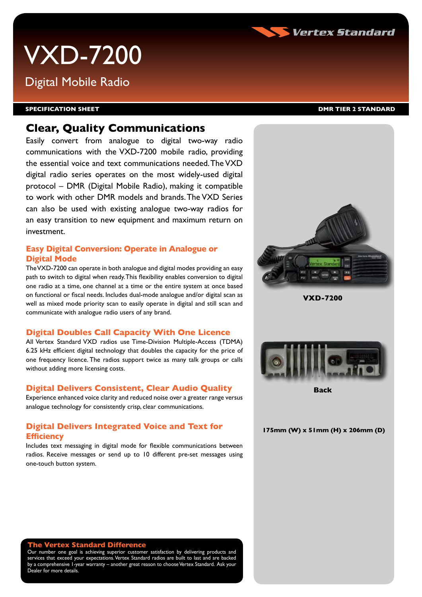

# VXD-7200

## Digital Mobile Radio

#### **SPECIFICATION Sheet DMR Tier 2 Standard**

## **Clear, Quality Communications**

Easily convert from analogue to digital two-way radio communications with the VXD-7200 mobile radio, providing the essential voice and text communications needed. The VXD digital radio series operates on the most widely-used digital protocol – DMR (Digital Mobile Radio), making it compatible to work with other DMR models and brands. The VXD Series can also be used with existing analogue two-way radios for an easy transition to new equipment and maximum return on investment.

#### **Easy Digital Conversion: Operate in Analogue or Digital Mode**

The VXD-7200 can operate in both analogue and digital modes providing an easy path to switch to digital when ready. This flexibility enables conversion to digital one radio at a time, one channel at a time or the entire system at once based on functional or fiscal needs. Includes dual-mode analogue and/or digital scan as well as mixed mode priority scan to easily operate in digital and still scan and communicate with analogue radio users of any brand.

#### **Digital Doubles Call Capacity With One Licence**

All Vertex Standard VXD radios use Time-Division Multiple-Access (TDMA) 6.25 kHz efficient digital technology that doubles the capacity for the price of one frequency licence. The radios support twice as many talk groups or calls without adding more licensing costs.

#### **Digital Delivers Consistent, Clear Audio Quality**

Experience enhanced voice clarity and reduced noise over a greater range versus analogue technology for consistently crisp, clear communications.

#### **Digital Delivers Integrated Voice and Text for Efficiency**

Includes text messaging in digital mode for flexible communications between radios. Receive messages or send up to 10 different pre-set messages using one-touch button system.



Our number one goal is achieving superior customer satisfaction by delivering products and services that exceed your expectations. Vertex Standard radios are built to last and are backed r a comprehensive 1-year warranty – another great reason to choose Vertex Standard. Ask your Dealer for more details.



**VXD-7200** 



**Back**

**175mm (W) x 51mm (H) x 206mm (D)**